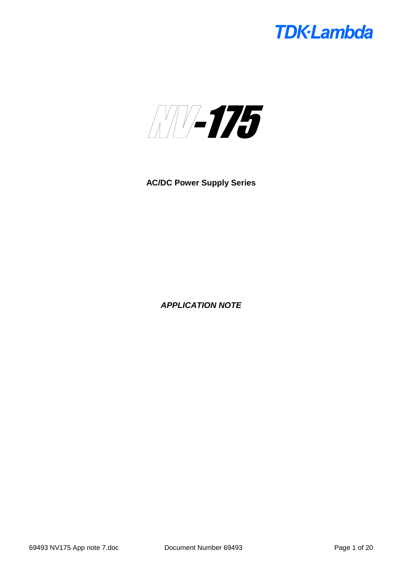

**AC/DC Power Supply Series**

*APPLICATION NOTE*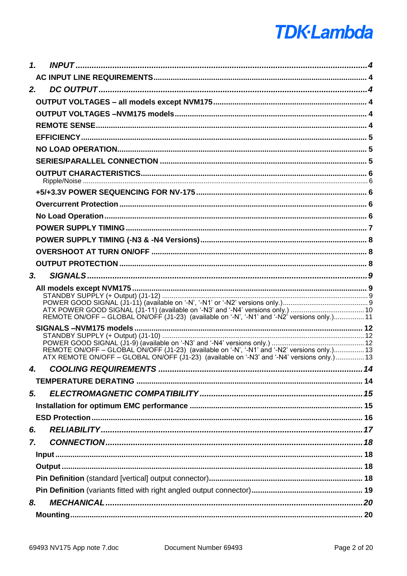| $\mathbf{1}$ . |                                                                                                                                                                                            |  |
|----------------|--------------------------------------------------------------------------------------------------------------------------------------------------------------------------------------------|--|
|                |                                                                                                                                                                                            |  |
| 2.             |                                                                                                                                                                                            |  |
|                |                                                                                                                                                                                            |  |
|                |                                                                                                                                                                                            |  |
|                |                                                                                                                                                                                            |  |
|                |                                                                                                                                                                                            |  |
|                |                                                                                                                                                                                            |  |
|                |                                                                                                                                                                                            |  |
|                |                                                                                                                                                                                            |  |
|                |                                                                                                                                                                                            |  |
|                |                                                                                                                                                                                            |  |
|                |                                                                                                                                                                                            |  |
|                |                                                                                                                                                                                            |  |
|                |                                                                                                                                                                                            |  |
|                |                                                                                                                                                                                            |  |
|                |                                                                                                                                                                                            |  |
| 3.             |                                                                                                                                                                                            |  |
|                | REMOTE ON/OFF - GLOBAL ON/OFF (J1-23) (available on '-N', '-N1' and '-N2' versions only.) 11                                                                                               |  |
|                | REMOTE ON/OFF - GLOBAL ON/OFF (J1-23) (available on '-N', '-N1' and '-N2' versions only.) 13<br>ATX REMOTE ON/OFF – GLOBAL ON/OFF (J1-23) (available on '-N3' and '-N4' versions only.) 13 |  |
| 4.             |                                                                                                                                                                                            |  |
|                |                                                                                                                                                                                            |  |
| 5.             |                                                                                                                                                                                            |  |
|                |                                                                                                                                                                                            |  |
|                |                                                                                                                                                                                            |  |
| 6.             |                                                                                                                                                                                            |  |
| 7.             |                                                                                                                                                                                            |  |
|                |                                                                                                                                                                                            |  |
|                |                                                                                                                                                                                            |  |
|                |                                                                                                                                                                                            |  |
|                |                                                                                                                                                                                            |  |
| 8.             |                                                                                                                                                                                            |  |
|                |                                                                                                                                                                                            |  |
|                |                                                                                                                                                                                            |  |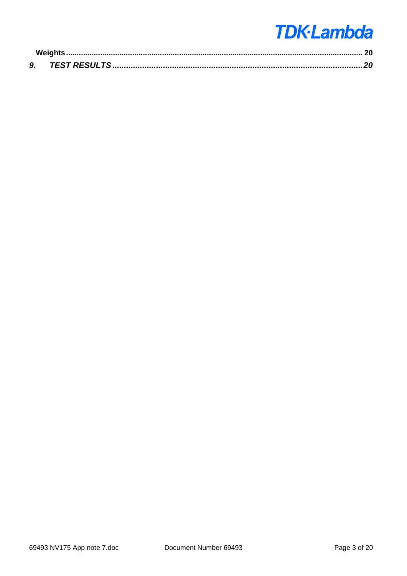| 9. |  |
|----|--|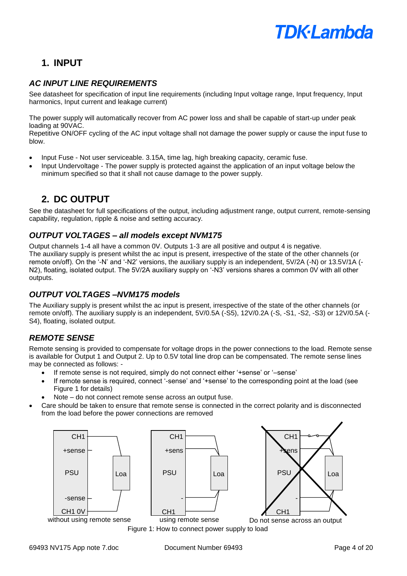### **1. INPUT**

### *AC INPUT LINE REQUIREMENTS*

See datasheet for specification of input line requirements (including Input voltage range, Input frequency, Input harmonics, Input current and leakage current)

The power supply will automatically recover from AC power loss and shall be capable of start-up under peak loading at 90VAC.

Repetitive ON/OFF cycling of the AC input voltage shall not damage the power supply or cause the input fuse to blow.

- Input Fuse Not user serviceable. 3.15A, time lag, high breaking capacity, ceramic fuse.
- Input Undervoltage The power supply is protected against the application of an input voltage below the minimum specified so that it shall not cause damage to the power supply.

### **2. DC OUTPUT**

See the datasheet for full specifications of the output, including adjustment range, output current, remote-sensing capability, regulation, ripple & noise and setting accuracy.

#### *OUTPUT VOLTAGES – all models except NVM175*

Output channels 1-4 all have a common 0V. Outputs 1-3 are all positive and output 4 is negative. The auxiliary supply is present whilst the ac input is present, irrespective of the state of the other channels (or remote on/off). On the '-N' and '-N2' versions, the auxiliary supply is an independent, 5V/2A (-N) or 13.5V/1A (- N2), floating, isolated output. The 5V/2A auxiliary supply on '-N3' versions shares a common 0V with all other outputs.

#### *OUTPUT VOLTAGES –NVM175 models*

The Auxiliary supply is present whilst the ac input is present, irrespective of the state of the other channels (or remote on/off). The auxiliary supply is an independent,  $5V/0.5A$  (-S5),  $12V/0.2A$  (-S, -S1, -S2, -S3) or  $12V/0.5A$  (-S4), floating, isolated output.

### *REMOTE SENSE*

Remote sensing is provided to compensate for voltage drops in the power connections to the load. Remote sense is available for Output 1 and Output 2. Up to 0.5V total line drop can be compensated. The remote sense lines may be connected as follows: -

- If remote sense is not required, simply do not connect either '+sense' or '–sense'
- If remote sense is required, connect '-sense' and '+sense' to the corresponding point at the load (see Figure 1 for details)
- Note do not connect remote sense across an output fuse.
- Care should be taken to ensure that remote sense is connected in the correct polarity and is disconnected from the load before the power connections are removed





Do not sense across an output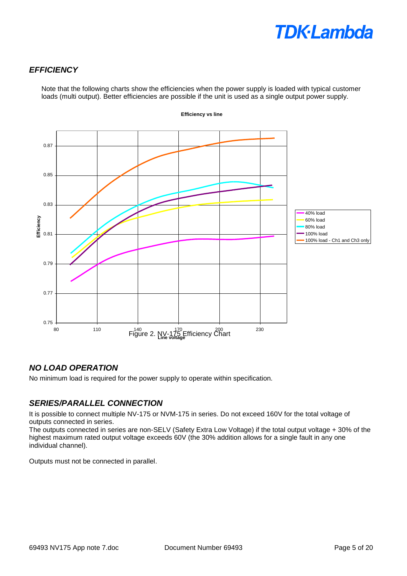### *EFFICIENCY*

Note that the following charts show the efficiencies when the power supply is loaded with typical customer loads (multi output). Better efficiencies are possible if the unit is used as a single output power supply.



**Efficiency vs line**

### *NO LOAD OPERATION*

No minimum load is required for the power supply to operate within specification.

#### *SERIES/PARALLEL CONNECTION*

It is possible to connect multiple NV-175 or NVM-175 in series. Do not exceed 160V for the total voltage of outputs connected in series.

The outputs connected in series are non-SELV (Safety Extra Low Voltage) if the total output voltage + 30% of the highest maximum rated output voltage exceeds 60V (the 30% addition allows for a single fault in any one individual channel).

Outputs must not be connected in parallel.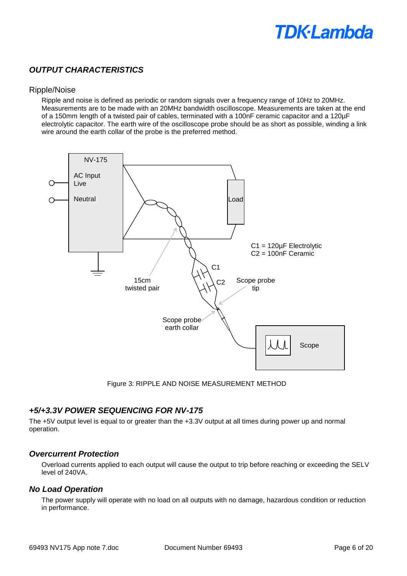### *OUTPUT CHARACTERISTICS*

#### Ripple/Noise

Ripple and noise is defined as periodic or random signals over a frequency range of 10Hz to 20MHz. Measurements are to be made with an 20MHz bandwidth oscilloscope. Measurements are taken at the end of a 150mm length of a twisted pair of cables, terminated with a 100nF ceramic capacitor and a 120µF electrolytic capacitor. The earth wire of the oscilloscope probe should be as short as possible, winding a link wire around the earth collar of the probe is the preferred method.



Figure 3: RIPPLE AND NOISE MEASUREMENT METHOD

#### *+5/+3.3V POWER SEQUENCING FOR NV-175*

The +5V output level is equal to or greater than the +3.3V output at all times during power up and normal operation.

#### *Overcurrent Protection*

Overload currents applied to each output will cause the output to trip before reaching or exceeding the SELV level of 240VA.

#### *No Load Operation*

The power supply will operate with no load on all outputs with no damage, hazardous condition or reduction in performance.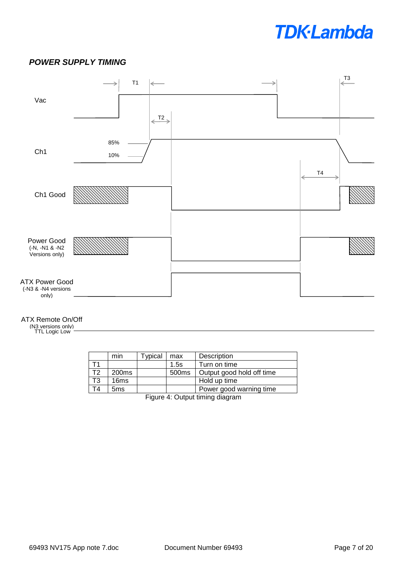#### *POWER SUPPLY TIMING*



#### ATX Remote On/Off

(N3 versions only) TTL Logic Low

|    | min               | ypical | max               | Description               |  |
|----|-------------------|--------|-------------------|---------------------------|--|
|    |                   |        | 1.5s              | Turn on time              |  |
| T2 | 200 <sub>ms</sub> |        | 500 <sub>ms</sub> | Output good hold off time |  |
| T3 | 16ms              |        |                   | Hold up time              |  |
| ٢4 | 5 <sub>ms</sub>   |        |                   | Power good warning time   |  |
|    |                   |        |                   |                           |  |

Figure 4: Output timing diagram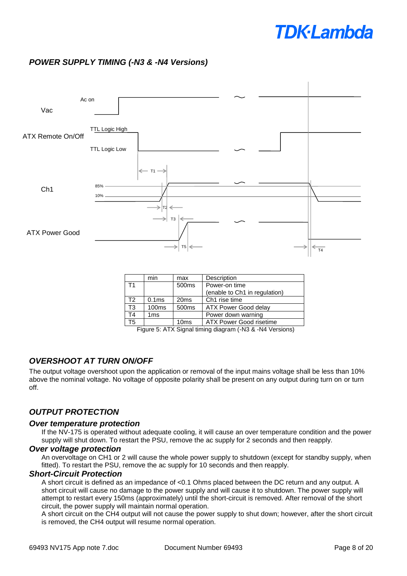### *POWER SUPPLY TIMING (-N3 & -N4 Versions)*



|                 | min               | max               | Description                   |  |
|-----------------|-------------------|-------------------|-------------------------------|--|
| T <sub>1</sub>  |                   | 500ms             | Power-on time                 |  |
|                 |                   |                   | (enable to Ch1 in regulation) |  |
| T <sub>2</sub>  | 0.1 <sub>ms</sub> | 20 <sub>ms</sub>  | Ch <sub>1</sub> rise time     |  |
| $\overline{T3}$ | 100 <sub>ms</sub> | 500 <sub>ms</sub> | ATX Power Good delay          |  |
| T <sub>4</sub>  | 1 <sub>ms</sub>   |                   | Power down warning            |  |
| T <sub>5</sub>  |                   | 10ms              | ATX Power Good risetime       |  |

Figure 5: ATX Signal timing diagram (-N3 & -N4 Versions)

#### *OVERSHOOT AT TURN ON/OFF*

The output voltage overshoot upon the application or removal of the input mains voltage shall be less than 10% above the nominal voltage. No voltage of opposite polarity shall be present on any output during turn on or turn off.

#### *OUTPUT PROTECTION*

#### *Over temperature protection*

If the NV-175 is operated without adequate cooling, it will cause an over temperature condition and the power supply will shut down. To restart the PSU, remove the ac supply for 2 seconds and then reapply.

#### *Over voltage protection*

An overvoltage on CH1 or 2 will cause the whole power supply to shutdown (except for standby supply, when fitted). To restart the PSU, remove the ac supply for 10 seconds and then reapply.

#### *Short-Circuit Protection*

A short circuit is defined as an impedance of <0.1 Ohms placed between the DC return and any output. A short circuit will cause no damage to the power supply and will cause it to shutdown. The power supply will attempt to restart every 150ms (approximately) until the short-circuit is removed. After removal of the short circuit, the power supply will maintain normal operation.

A short circuit on the CH4 output will not cause the power supply to shut down; however, after the short circuit is removed, the CH4 output will resume normal operation.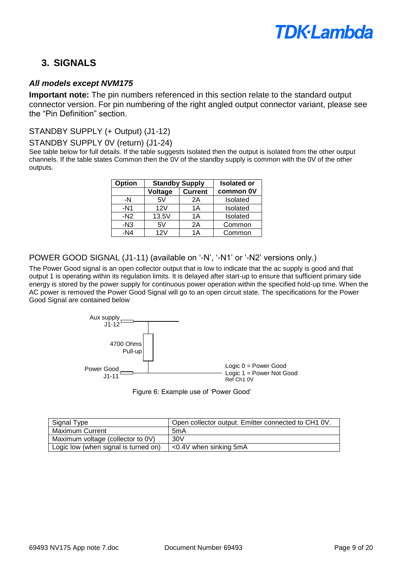

### **3. SIGNALS**

#### *All models except NVM175*

**Important note:** The pin numbers referenced in this section relate to the standard output connector version. For pin numbering of the right angled output connector variant, please see the "Pin Definition" section.

#### STANDBY SUPPLY (+ Output) (J1-12)

#### STANDBY SUPPLY 0V (return) (J1-24)

See table below for full details. If the table suggests Isolated then the output is isolated from the other output channels. If the table states Common then the 0V of the standby supply is common with the 0V of the other outputs.

| Option | <b>Standby Supply</b>     |    | <b>Isolated or</b> |
|--------|---------------------------|----|--------------------|
|        | <b>Current</b><br>Voltage |    | common 0V          |
| -N     | 5V                        | 2A | Isolated           |
| $-N1$  | 12V                       | 1A | Isolated           |
| $-N2$  | 13.5V                     | 1A | Isolated           |
| $-N3$  | 5٧                        | 2A | Common             |
| $-N4$  | 12V                       | 1A | Common             |

#### POWER GOOD SIGNAL (J1-11) (available on '-N', '-N1' or '-N2' versions only.)

The Power Good signal is an open collector output that is low to indicate that the ac supply is good and that output 1 is operating within its regulation limits. It is delayed after start-up to ensure that sufficient primary side energy is stored by the power supply for continuous power operation within the specified hold-up time. When the AC power is removed the Power Good Signal will go to an open circuit state. The specifications for the Power Good Signal are contained below





| Signal Type                          | Open collector output. Emitter connected to CH1 0V. |
|--------------------------------------|-----------------------------------------------------|
| <b>Maximum Current</b>               | 5mA                                                 |
| Maximum voltage (collector to 0V)    | 30V                                                 |
| Logic low (when signal is turned on) | $<$ 0.4V when sinking 5mA                           |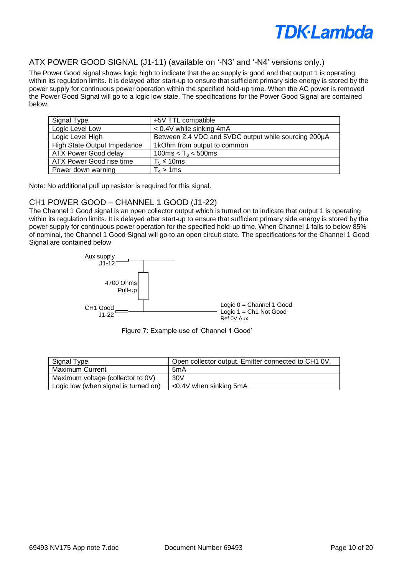

#### ATX POWER GOOD SIGNAL (J1-11) (available on '-N3' and '-N4' versions only.)

The Power Good signal shows logic high to indicate that the ac supply is good and that output 1 is operating within its regulation limits. It is delayed after start-up to ensure that sufficient primary side energy is stored by the power supply for continuous power operation within the specified hold-up time. When the AC power is removed the Power Good Signal will go to a logic low state. The specifications for the Power Good Signal are contained below.

| Signal Type                 | +5V TTL compatible                                   |
|-----------------------------|------------------------------------------------------|
| Logic Level Low             | $< 0.4V$ while sinking 4mA                           |
| Logic Level High            | Between 2.4 VDC and 5VDC output while sourcing 200µA |
| High State Output Impedance | 1kOhm from output to common                          |
| <b>ATX Power Good delay</b> | 100ms < $T_3$ < 500ms                                |
| ATX Power Good rise time    | $T_5 \leq 10$ ms                                     |
| Power down warning          | $T_4 > 1$ ms                                         |

Note: No additional pull up resistor is required for this signal.

#### CH1 POWER GOOD – CHANNEL 1 GOOD (J1-22)

The Channel 1 Good signal is an open collector output which is turned on to indicate that output 1 is operating within its regulation limits. It is delayed after start-up to ensure that sufficient primary side energy is stored by the power supply for continuous power operation for the specified hold-up time. When Channel 1 falls to below 85% of nominal, the Channel 1 Good Signal will go to an open circuit state. The specifications for the Channel 1 Good Signal are contained below



Figure 7: Example use of 'Channel 1 Good'

| Signal Type                          | Open collector output. Emitter connected to CH1 0V. |
|--------------------------------------|-----------------------------------------------------|
| <b>Maximum Current</b>               | 5mA                                                 |
| Maximum voltage (collector to 0V)    | 30V                                                 |
| Logic low (when signal is turned on) | $\leq$ 0.4V when sinking 5mA                        |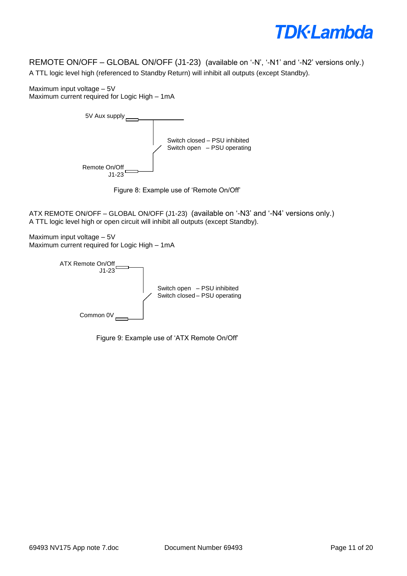REMOTE ON/OFF – GLOBAL ON/OFF (J1-23) (available on '-N', '-N1' and '-N2' versions only.) A TTL logic level high (referenced to Standby Return) will inhibit all outputs (except Standby).

Maximum input voltage – 5V Maximum current required for Logic High – 1mA





ATX REMOTE ON/OFF – GLOBAL ON/OFF (J1-23) (available on '-N3' and '-N4' versions only.) A TTL logic level high or open circuit will inhibit all outputs (except Standby).

Maximum input voltage – 5V Maximum current required for Logic High – 1mA



Figure 9: Example use of 'ATX Remote On/Off'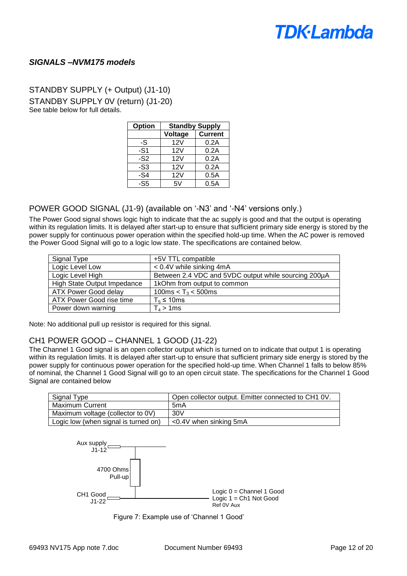#### *SIGNALS –NVM175 models*

### STANDBY SUPPLY (+ Output) (J1-10) STANDBY SUPPLY 0V (return) (J1-20) See table below for full details.

| Option | <b>Standby Supply</b> |                |  |
|--------|-----------------------|----------------|--|
|        | Voltage               | <b>Current</b> |  |
| -S     | 12V                   | 0.2A           |  |
| -S1    | 12V                   | 0.2A           |  |
| $-S2$  | 12V                   | 0.2A           |  |
| $-S3$  | 12V                   | 0.2A           |  |
| $-S4$  | 12V                   | 0.5A           |  |
| -S5    | 5V                    | 0.5A           |  |

#### POWER GOOD SIGNAL (J1-9) (available on '-N3' and '-N4' versions only.)

The Power Good signal shows logic high to indicate that the ac supply is good and that the output is operating within its regulation limits. It is delayed after start-up to ensure that sufficient primary side energy is stored by the power supply for continuous power operation within the specified hold-up time. When the AC power is removed the Power Good Signal will go to a logic low state. The specifications are contained below.

| Signal Type                 | +5V TTL compatible                                   |
|-----------------------------|------------------------------------------------------|
| Logic Level Low             | $< 0.4V$ while sinking 4mA                           |
| Logic Level High            | Between 2.4 VDC and 5VDC output while sourcing 200µA |
| High State Output Impedance | 1kOhm from output to common                          |
| ATX Power Good delay        | 100ms < $T_3$ < 500ms                                |
| ATX Power Good rise time    | $T_5 \leq 10$ ms                                     |
| Power down warning          | $T_4 > 1$ ms                                         |

Note: No additional pull up resistor is required for this signal.

#### CH1 POWER GOOD – CHANNEL 1 GOOD (J1-22)

The Channel 1 Good signal is an open collector output which is turned on to indicate that output 1 is operating within its regulation limits. It is delayed after start-up to ensure that sufficient primary side energy is stored by the power supply for continuous power operation for the specified hold-up time. When Channel 1 falls to below 85% of nominal, the Channel 1 Good Signal will go to an open circuit state. The specifications for the Channel 1 Good Signal are contained below

| Open collector output. Emitter connected to CH1 0V. |
|-----------------------------------------------------|
| 5mA                                                 |
| 30V                                                 |
| $<$ 0.4V when sinking 5mA                           |
|                                                     |



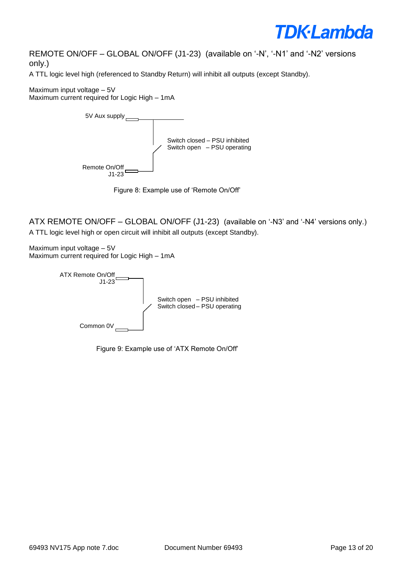

REMOTE ON/OFF – GLOBAL ON/OFF (J1-23) (available on '-N', '-N1' and '-N2' versions only.)

A TTL logic level high (referenced to Standby Return) will inhibit all outputs (except Standby).

Maximum input voltage – 5V Maximum current required for Logic High – 1mA



Figure 8: Example use of 'Remote On/Off'

ATX REMOTE ON/OFF – GLOBAL ON/OFF (J1-23) (available on '-N3' and '-N4' versions only.) A TTL logic level high or open circuit will inhibit all outputs (except Standby).

Maximum input voltage – 5V Maximum current required for Logic High – 1mA



Figure 9: Example use of 'ATX Remote On/Off'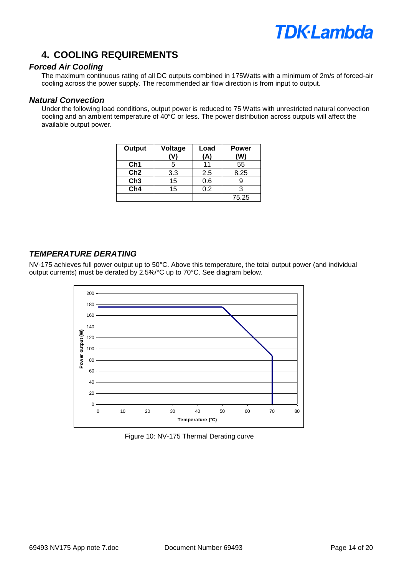### **4. COOLING REQUIREMENTS**

#### *Forced Air Cooling*

The maximum continuous rating of all DC outputs combined in 175Watts with a minimum of 2m/s of forced-air cooling across the power supply. The recommended air flow direction is from input to output.

#### *Natural Convection*

Under the following load conditions, output power is reduced to 75 Watts with unrestricted natural convection cooling and an ambient temperature of 40°C or less. The power distribution across outputs will affect the available output power.

| Output          | Voltage | Load<br>(A) | <b>Power</b><br>(W) |
|-----------------|---------|-------------|---------------------|
| Ch <sub>1</sub> | 5       | 11          | 55                  |
| Ch2             | 3.3     | 2.5         | 8.25                |
| Ch <sub>3</sub> | 15      | 0.6         |                     |
| Ch4             | 15      | 0.2         |                     |
|                 |         |             | 75.25               |

### *TEMPERATURE DERATING*

NV-175 achieves full power output up to 50°C. Above this temperature, the total output power (and individual output currents) must be derated by 2.5%/°C up to 70°C. See diagram below.



Figure 10: NV-175 Thermal Derating curve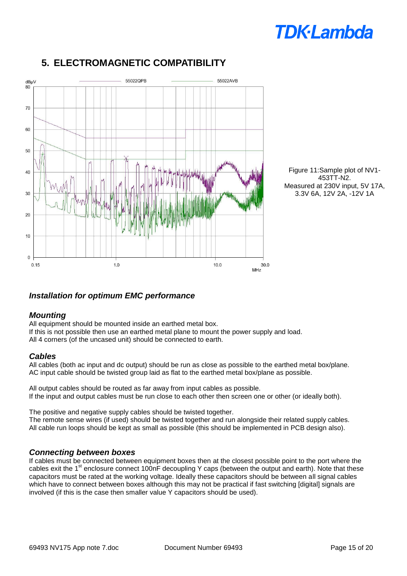

## **5. ELECTROMAGNETIC COMPATIBILITY**

Figure 11:Sample plot of NV1- 453TT-N2. Measured at 230V input, 5V 17A, 3.3V 6A, 12V 2A, -12V 1A

#### *Installation for optimum EMC performance*

#### *Mounting*

All equipment should be mounted inside an earthed metal box. If this is not possible then use an earthed metal plane to mount the power supply and load. All 4 corners (of the uncased unit) should be connected to earth.

#### *Cables*

All cables (both ac input and dc output) should be run as close as possible to the earthed metal box/plane. AC input cable should be twisted group laid as flat to the earthed metal box/plane as possible.

All output cables should be routed as far away from input cables as possible. If the input and output cables must be run close to each other then screen one or other (or ideally both).

The positive and negative supply cables should be twisted together. The remote sense wires (if used) should be twisted together and run alongside their related supply cables. All cable run loops should be kept as small as possible (this should be implemented in PCB design also).

#### *Connecting between boxes*

If cables must be connected between equipment boxes then at the closest possible point to the port where the cables exit the 1<sup>st</sup> enclosure connect 100nF decoupling Y caps (between the output and earth). Note that these capacitors must be rated at the working voltage. Ideally these capacitors should be between all signal cables which have to connect between boxes although this may not be practical if fast switching [digital] signals are involved (if this is the case then smaller value Y capacitors should be used).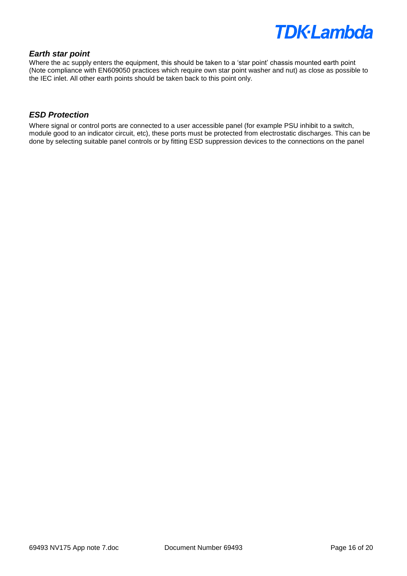#### *Earth star point*

Where the ac supply enters the equipment, this should be taken to a 'star point' chassis mounted earth point (Note compliance with EN609050 practices which require own star point washer and nut) as close as possible to the IEC inlet. All other earth points should be taken back to this point only.

#### *ESD Protection*

Where signal or control ports are connected to a user accessible panel (for example PSU inhibit to a switch, module good to an indicator circuit, etc), these ports must be protected from electrostatic discharges. This can be done by selecting suitable panel controls or by fitting ESD suppression devices to the connections on the panel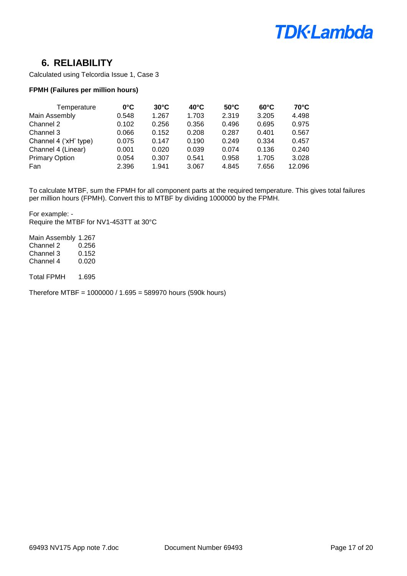

### **6. RELIABILITY**

Calculated using Telcordia Issue 1, Case 3

#### **FPMH (Failures per million hours)**

| Temperature           | $0^{\circ}$ C | $30^{\circ}$ C | $40^{\circ}$ C | $50^{\circ}$ C | $60^{\circ}$ C | $70^{\circ}$ C |
|-----------------------|---------------|----------------|----------------|----------------|----------------|----------------|
| Main Assembly         | 0.548         | 1.267          | 1.703          | 2.319          | 3.205          | 4.498          |
| Channel 2             | 0.102         | 0.256          | 0.356          | 0.496          | 0.695          | 0.975          |
| Channel 3             | 0.066         | 0.152          | 0.208          | 0.287          | 0.401          | 0.567          |
| Channel 4 ('xH' type) | 0.075         | 0.147          | 0.190          | 0.249          | 0.334          | 0.457          |
| Channel 4 (Linear)    | 0.001         | 0.020          | 0.039          | 0.074          | 0.136          | 0.240          |
| <b>Primary Option</b> | 0.054         | 0.307          | 0.541          | 0.958          | 1.705          | 3.028          |
| Fan                   | 2.396         | 1.941          | 3.067          | 4.845          | 7.656          | 12.096         |

To calculate MTBF, sum the FPMH for all component parts at the required temperature. This gives total failures per million hours (FPMH). Convert this to MTBF by dividing 1000000 by the FPMH.

For example: - Require the MTBF for NV1-453TT at 30°C

Main Assembly 1.267 Channel 2 0.256 Channel 3 0.152<br>Channel 4 0.020 Channel 4

Total FPMH 1.695

Therefore MTBF = 1000000 / 1.695 = 589970 hours (590k hours)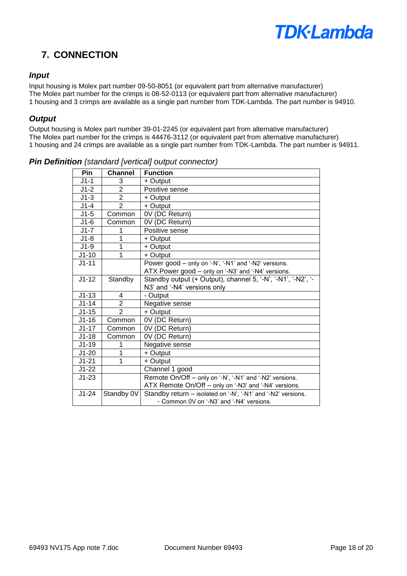### **7. CONNECTION**

#### *Input*

Input housing is Molex part number 09-50-8051 (or equivalent part from alternative manufacturer) The Molex part number for the crimps is 08-52-0113 (or equivalent part from alternative manufacturer) 1 housing and 3 crimps are available as a single part number from TDK-Lambda. The part number is 94910.

#### *Output*

Output housing is Molex part number 39-01-2245 (or equivalent part from alternative manufacturer) The Molex part number for the crimps is 44476-3112 (or equivalent part from alternative manufacturer) 1 housing and 24 crimps are available as a single part number from TDK-Lambda. The part number is 94911.

| Pin                | <b>Channel</b> | <b>Function</b>                                              |
|--------------------|----------------|--------------------------------------------------------------|
| $J1-1$             | 3              | + Output                                                     |
| $J1-2$             | $\overline{2}$ | Positive sense                                               |
| $J1-3$             | $\overline{2}$ | + Output                                                     |
| $J1-4$             | $\overline{2}$ | + Output                                                     |
| $J1-5$             | Common         | 0V (DC Return)                                               |
| $J1-6$             | Common         | 0V (DC Return)                                               |
| $J1-7$             | 1              | Positive sense                                               |
| $J1-8$             | 1              | + Output                                                     |
| $J1-9$             | 1              | + Output                                                     |
| $J1-10$            | 1              | + Output                                                     |
| $J1 - 11$          |                | Power good - only on '-N', '-N1' and '-N2' versions.         |
|                    |                | ATX Power good - only on '-N3' and '-N4' versions.           |
| $\overline{J1-12}$ | Standby        | Standby output (+ Output), channel 5, '-N', '-N1', '-N2', '- |
|                    |                | N3' and '-N4' versions only                                  |
| $J1-13$            | 4              | - Output                                                     |
| $J1 - 14$          | $\overline{2}$ | Negative sense                                               |
| $J1-15$            | $\overline{2}$ | + Output                                                     |
| $J1-16$            | Common         | 0V (DC Return)                                               |
| $J1-17$            | Common         | 0V (DC Return)                                               |
| $J1-18$            | Common         | 0V (DC Return)                                               |
| $J1-19$            | 1              | Negative sense                                               |
| $J1-20$            | 1              | + Output                                                     |
| $J1 - 21$          | 1              | + Output                                                     |
| $J1-22$            |                | Channel 1 good                                               |
| $J1-23$            |                | Remote On/Off - only on '-N', '-N1' and '-N2' versions.      |
|                    |                | ATX Remote On/Off - only on '-N3' and '-N4' versions.        |
| $J1-24$            | Standby 0V     | Standby return - isolated on '-N', '-N1' and '-N2' versions. |
|                    |                | - Common 0V on '-N3' and '-N4' versions.                     |

*Pin Definition (standard [vertical] output connector)*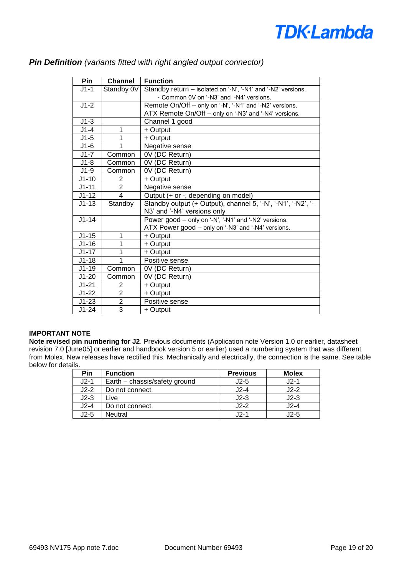| Pin       | <b>Channel</b>          | <b>Function</b>                                              |
|-----------|-------------------------|--------------------------------------------------------------|
| $J1-1$    | Standby 0V              | Standby return - isolated on '-N', '-N1' and '-N2' versions. |
|           |                         | - Common 0V on '-N3' and '-N4' versions.                     |
| $J1-2$    |                         | Remote On/Off - only on '-N', '-N1' and '-N2' versions.      |
|           |                         | ATX Remote On/Off - only on '-N3' and '-N4' versions.        |
| $J1-3$    |                         | Channel 1 good                                               |
| $J1-4$    | 1                       | + Output                                                     |
| $J1-5$    | 1                       | + Output                                                     |
| $J1-6$    |                         | Negative sense                                               |
| $J1-7$    | Common                  | 0V (DC Return)                                               |
| $J1-8$    | Common                  | 0V (DC Return)                                               |
| $J1-9$    | Common                  | 0V (DC Return)                                               |
| $J1 - 10$ | 2                       | + Output                                                     |
| $J1 - 11$ | $\overline{2}$          | Negative sense                                               |
| $J1-12$   | $\overline{\mathbf{A}}$ | Output (+ or -, depending on model)                          |
| $J1 - 13$ | Standby                 | Standby output (+ Output), channel 5, '-N', '-N1', '-N2', '- |
|           |                         | N3' and '-N4' versions only                                  |
| $J1 - 14$ |                         | Power good - only on '-N', '-N1' and '-N2' versions.         |
|           |                         | ATX Power good - only on '-N3' and '-N4' versions.           |
| $J1-15$   | 1                       | + Output                                                     |
| $J1-16$   | 1                       | + Output                                                     |
| $J1-17$   | 1                       | + Output                                                     |
| $J1-18$   |                         | Positive sense                                               |
| $J1-19$   | Common                  | 0V (DC Return)                                               |
| $J1-20$   | Common                  | 0V (DC Return)                                               |
| $J1 - 21$ | 2                       | + Output                                                     |
| $J1-22$   | $\overline{2}$          | + Output                                                     |
| $J1-23$   | $\overline{2}$          | Positive sense                                               |
| $J1-24$   | $\overline{3}$          | + Output                                                     |

#### *Pin Definition (variants fitted with right angled output connector)*

#### **IMPORTANT NOTE**

**Note revised pin numbering for J2**. Previous documents (Application note Version 1.0 or earlier, datasheet revision 7.0 [June05] or earlier and handbook version 5 or earlier) used a numbering system that was different from Molex. New releases have rectified this. Mechanically and electrically, the connection is the same. See table below for details.

| Pin    | <b>Function</b>               | <b>Previous</b> | <b>Molex</b> |
|--------|-------------------------------|-----------------|--------------|
| J2-1   | Earth - chassis/safety ground | $J2-5$          | $J2-1$       |
| $J2-2$ | Do not connect                | $J2-4$          | $J2-2$       |
| $J2-3$ | ∟ive                          | $J2-3$          | $J2-3$       |
| $J2-4$ | Do not connect                | $J2-2$          | J2-4         |
| J2-5   | Neutral                       | $J2-1$          | J2-5         |